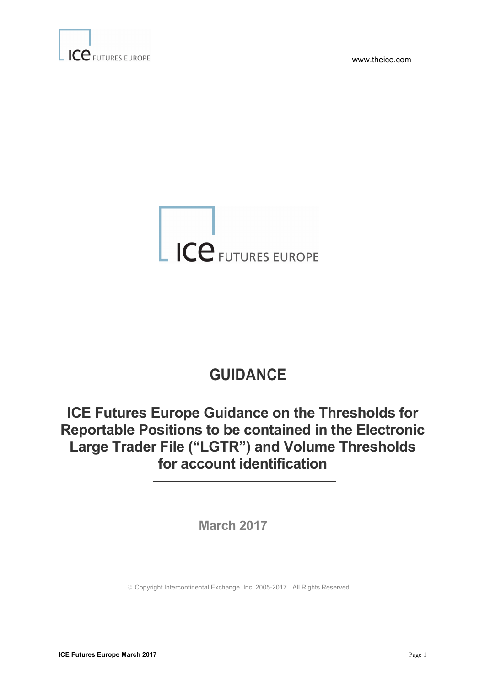

# **GUIDANCE**

# **ICE Futures Europe Guidance on the Thresholds for Reportable Positions to be contained in the Electronic Large Trader File ("LGTR") and Volume Thresholds for account identification**

**March 2017**

© Copyright Intercontinental Exchange, Inc. 2005-2017. All Rights Reserved.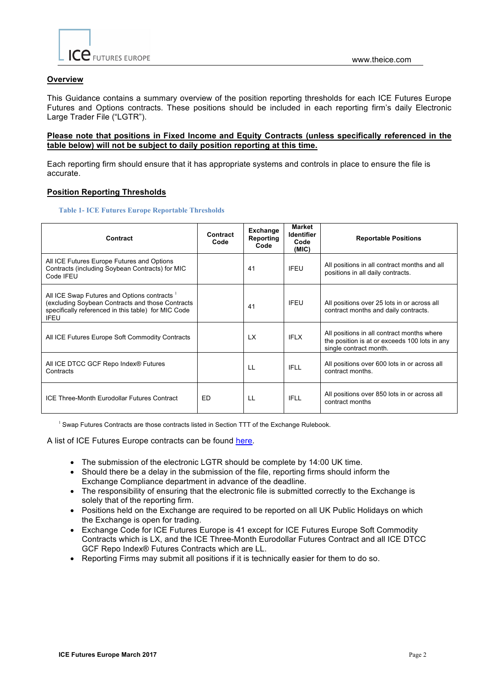

### **Overview**

This Guidance contains a summary overview of the position reporting thresholds for each ICE Futures Europe Futures and Options contracts. These positions should be included in each reporting firm's daily Electronic Large Trader File ("LGTR").

#### **Please note that positions in Fixed Income and Equity Contracts (unless specifically referenced in the table below) will not be subject to daily position reporting at this time.**

Each reporting firm should ensure that it has appropriate systems and controls in place to ensure the file is accurate.

#### **Position Reporting Thresholds**

**Table 1- ICE Futures Europe Reportable Thresholds**

| Contract                                                                                                                                                               | Contract<br>Code | <b>Exchange</b><br>Reporting<br>Code | Market<br><b>Identifier</b><br>Code<br>(MIC) | <b>Reportable Positions</b>                                                                                           |
|------------------------------------------------------------------------------------------------------------------------------------------------------------------------|------------------|--------------------------------------|----------------------------------------------|-----------------------------------------------------------------------------------------------------------------------|
| All ICE Futures Europe Futures and Options<br>Contracts (including Soybean Contracts) for MIC<br>Code IFEU                                                             |                  | 41                                   | <b>IFEU</b>                                  | All positions in all contract months and all<br>positions in all daily contracts.                                     |
| All ICE Swap Futures and Options contracts 1<br>(excluding Soybean Contracts and those Contracts<br>specifically referenced in this table) for MIC Code<br><b>IFEU</b> |                  | 41                                   | <b>IFEU</b>                                  | All positions over 25 lots in or across all<br>contract months and daily contracts.                                   |
| All ICE Futures Europe Soft Commodity Contracts                                                                                                                        |                  | <b>LX</b>                            | <b>IFLX</b>                                  | All positions in all contract months where<br>the position is at or exceeds 100 lots in any<br>single contract month. |
| All ICE DTCC GCF Repo Index® Futures<br>Contracts                                                                                                                      |                  | LL                                   | <b>IFLL</b>                                  | All positions over 600 lots in or across all<br>contract months.                                                      |
| <b>ICE Three-Month Eurodollar Futures Contract</b>                                                                                                                     | ED               | LL                                   | <b>IFLL</b>                                  | All positions over 850 lots in or across all<br>contract months                                                       |

<sup>1</sup> Swap Futures Contracts are those contracts listed in Section TTT of the Exchange Rulebook.

A list of ICE Futures Europe contracts can be found [here](https://www.theice.com/products).

- The submission of the electronic LGTR should be complete by 14:00 UK time.
- Should there be a delay in the submission of the file, reporting firms should inform the Exchange Compliance department in advance of the deadline.
- The responsibility of ensuring that the electronic file is submitted correctly to the Exchange is solely that of the reporting firm.
- Positions held on the Exchange are required to be reported on all UK Public Holidays on which the Exchange is open for trading.
- Exchange Code for ICE Futures Europe is 41 except for ICE Futures Europe Soft Commodity Contracts which is LX, and the ICE Three-Month Eurodollar Futures Contract and all ICE DTCC GCF Repo Index® Futures Contracts which are LL.
- Reporting Firms may submit all positions if it is technically easier for them to do so.